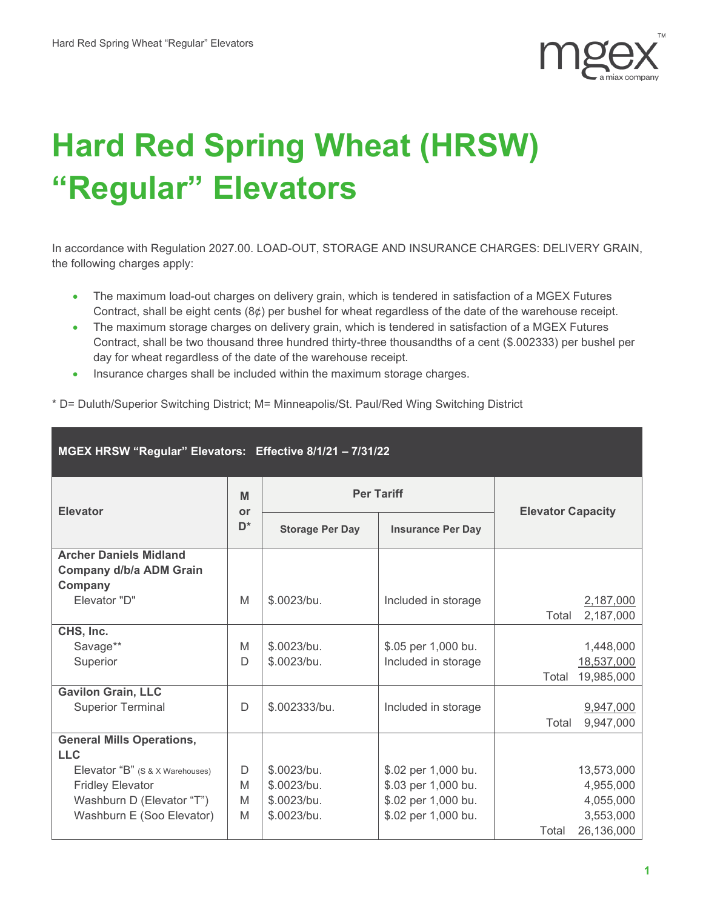

## **Hard Red Spring Wheat (HRSW) "Regular" Elevators**

In accordance with Regulation 2027.00. LOAD-OUT, STORAGE AND INSURANCE CHARGES: DELIVERY GRAIN, the following charges apply:

- The maximum load-out charges on delivery grain, which is tendered in satisfaction of a MGEX Futures Contract, shall be eight cents  $(8¢)$  per bushel for wheat regardless of the date of the warehouse receipt.
- The maximum storage charges on delivery grain, which is tendered in satisfaction of a MGEX Futures Contract, shall be two thousand three hundred thirty-three thousandths of a cent (\$.002333) per bushel per day for wheat regardless of the date of the warehouse receipt.
- Insurance charges shall be included within the maximum storage charges.

\* D= Duluth/Superior Switching District; M= Minneapolis/St. Paul/Red Wing Switching District

| MGEX HRSW "Regular" Elevators: Effective 8/1/21 - 7/31/22           |                           |                        |                          |                                   |  |  |  |
|---------------------------------------------------------------------|---------------------------|------------------------|--------------------------|-----------------------------------|--|--|--|
| <b>Elevator</b>                                                     | M<br>or<br>D <sup>*</sup> | <b>Per Tariff</b>      |                          | <b>Elevator Capacity</b>          |  |  |  |
|                                                                     |                           | <b>Storage Per Day</b> | <b>Insurance Per Day</b> |                                   |  |  |  |
| <b>Archer Daniels Midland</b><br>Company d/b/a ADM Grain<br>Company |                           |                        |                          |                                   |  |  |  |
| Elevator "D"                                                        | M                         | \$.0023/bu.            | Included in storage      | 2,187,000<br>Total<br>2,187,000   |  |  |  |
| CHS, Inc.                                                           |                           |                        |                          |                                   |  |  |  |
| Savage**                                                            | M                         | \$.0023/bu.            | \$.05 per 1,000 bu.      | 1,448,000                         |  |  |  |
| Superior                                                            | D                         | \$.0023/bu.            | Included in storage      | 18,537,000<br>19,985,000<br>Total |  |  |  |
| <b>Gavilon Grain, LLC</b>                                           |                           |                        |                          |                                   |  |  |  |
| <b>Superior Terminal</b>                                            | D                         | \$.002333/bu.          | Included in storage      | 9,947,000<br>9,947,000<br>Total   |  |  |  |
| <b>General Mills Operations,</b><br><b>LLC</b>                      |                           |                        |                          |                                   |  |  |  |
| Elevator "B" (S & X Warehouses)                                     | D                         | \$.0023/bu.            | \$.02 per 1,000 bu.      | 13,573,000                        |  |  |  |
| <b>Fridley Elevator</b>                                             | M                         | \$.0023/bu.            | \$.03 per 1,000 bu.      | 4,955,000                         |  |  |  |
| Washburn D (Elevator "T")                                           | M                         | \$.0023/bu.            | \$.02 per 1,000 bu.      | 4,055,000                         |  |  |  |
| Washburn E (Soo Elevator)                                           | M                         | \$.0023/bu.            | \$.02 per 1,000 bu.      | 3,553,000                         |  |  |  |
|                                                                     |                           |                        |                          | 26,136,000<br>Total               |  |  |  |